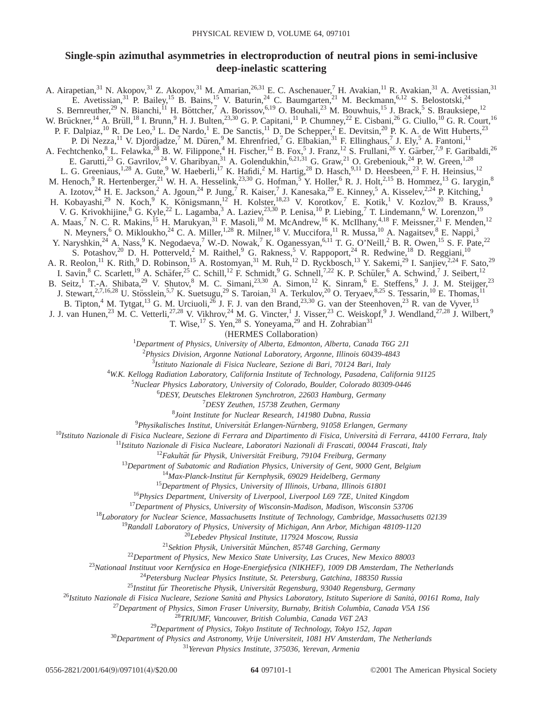## **Single-spin azimuthal asymmetries in electroproduction of neutral pions in semi-inclusive deep-inelastic scattering**

A. Airapetian,<sup>31</sup> N. Akopov,<sup>31</sup> Z. Akopov,<sup>31</sup> M. Amarian,<sup>26,31</sup> E. C. Aschenauer,<sup>7</sup> H. Avakian,<sup>11</sup> R. Avakian,<sup>31</sup> A. Avetissian,<sup>31</sup> E. Avetissian,<sup>31</sup> P. Bailey,<sup>15</sup> B. Bains,<sup>15</sup> V. Baturin,<sup>24</sup> C. Baumgarten,<sup>21</sup> M. Beckmann,<sup>6,12</sup> S. Belostotski,<sup>24</sup> S. Bernreuther,<sup>29</sup> N. Bianchi,<sup>11</sup> H. Böttcher,<sup>7</sup> A. Borissov,<sup>6,19</sup> O. Bouhali,<sup>23</sup> M. Bouwhuis,<sup>15</sup> J. Brack,<sup>5</sup> S. Brauksiepe,<sup>12</sup> W. Brückner, <sup>14</sup> A. Brüll, <sup>18</sup> I. Brunn, <sup>9</sup> H. J. Bulten, <sup>23,30</sup> G. P. Capitani, <sup>11</sup> P. Chumney, <sup>22</sup> E. Cisbani, <sup>26</sup> G. Ciullo, <sup>10</sup> G. R. Court, <sup>16</sup> P. F. Dalpiaz,<sup>10</sup> R. De Leo,<sup>3</sup> L. De Nardo,<sup>1</sup> E. De Sanctis,<sup>11</sup> D. De Schepper,<sup>2</sup> E. Devitsin,<sup>20</sup> P. K. A. de Witt Huberts,<sup>23</sup> P. Di Nezza,<sup>11</sup> V. Djordjadze,<sup>7</sup> M. Düren,<sup>9</sup> M. Ehrenfried,<sup>7</sup> G. Elbakian,<sup>31</sup> F. Ellinghaus,<sup>7</sup> J. Ely,<sup>5</sup> A. Fantoni,<sup>11</sup> A. Fechtchenko, <sup>8</sup> L. Felawka,<sup>28</sup> B. W. Filippone, <sup>4</sup> H. Fischer, <sup>12</sup> B. Fox, <sup>5</sup> J. Franz, <sup>12</sup> S. Frullani, <sup>26</sup> Y. Garber, <sup>7,9</sup> F. Garibaldi, <sup>26</sup> E. Garutti,<sup>23</sup> G. Gavrilov,<sup>24</sup> V. Gharibyan,<sup>31</sup> A. Golendukhin,<sup>6,21,31</sup> G. Graw,<sup>21</sup> O. Grebeniouk,<sup>24</sup> P. W. Green,<sup>1,28</sup> L. G. Greeniaus,<sup>1,28</sup> A. Gute,<sup>9</sup> W. Haeberli,<sup>17</sup> K. Hafidi,<sup>2</sup> M. Hartig,<sup>28</sup> D. Hasch,<sup>9,11</sup> D. Heesbeen,<sup>23</sup> F. H. Heinsius,<sup>12</sup> M. Henoch, <sup>9</sup> R. Hertenberger, <sup>21</sup> W. H. A. Hesselink, <sup>23,30</sup> G. Hofman, <sup>5</sup> Y. Holler, <sup>6</sup> R. J. Holt, <sup>2,15</sup> B. Hommez, <sup>13</sup> G. Iarygin, <sup>8</sup> A. Izotov,<sup>24</sup> H. E. Jackson,<sup>2</sup> A. Jgoun,<sup>24</sup> P. Jung,<sup>7</sup> R. Kaiser,<sup>7</sup> J. Kanesaka,<sup>29</sup> E. Kinney,<sup>5</sup> A. Kisselev,<sup>2,24</sup> P. Kitching,<sup>1</sup> H. Kobayashi,<sup>29</sup> N. Koch,<sup>9</sup> K. Königsmann,<sup>12</sup> H. Kolster,<sup>18,23</sup> V. Korotkov,<sup>7</sup> E. Kotik,<sup>1</sup> V. Kozlov,<sup>20</sup> B. Krauss,<sup>9</sup> V. G. Krivokhijine, <sup>8</sup> G. Kyle, <sup>22</sup> L. Lagamba, <sup>3</sup> A. Laziev, <sup>23,30</sup> P. Lenisa, <sup>10</sup> P. Liebing, <sup>7</sup> T. Lindemann, <sup>6</sup> W. Lorenzon, <sup>19</sup> A. Maas,<sup>7</sup> N. C. R. Makins,<sup>15</sup> H. Marukyan,<sup>31</sup> F. Masoli,<sup>10</sup> M. McAndrew,<sup>16</sup> K. McIlhany,<sup>4,18</sup> F. Meissner,<sup>21</sup> F. Menden,<sup>12</sup> N. Meyners,<sup>6</sup> O. Mikloukho,<sup>24</sup> C. A. Miller,<sup>1,28</sup> R. Milner,<sup>18</sup> V. Muccifora,<sup>11</sup> R. Mussa,<sup>10</sup> A. Nagaitsev,<sup>8</sup> E. Nappi,<sup>3</sup> Y. Naryshkin,<sup>24</sup> A. Nass,<sup>9</sup> K. Negodaeva,<sup>7</sup> W.-D. Nowak,<sup>7</sup> K. Oganessyan,<sup>6,11</sup> T. G. O'Neill,<sup>2</sup> B. R. Owen,<sup>15</sup> S. F. Pate,<sup>22</sup> S. Potashov,<sup>20</sup> D. H. Potterveld,<sup>2</sup> M. Raithel,<sup>9</sup> G. Rakness,<sup>5</sup> V. Rappoport,<sup>24</sup> R. Redwine,<sup>18</sup> D. Reggiani,<sup>10</sup> A. R. Reolon,<sup>11</sup> K. Rith,<sup>9</sup> D. Robinson,<sup>15</sup> A. Rostomyan,<sup>31</sup> M. Ruh,<sup>12</sup> D. Ryckbosch,<sup>13</sup> Y. Sakemi,<sup>29</sup> I. Sanjiev,<sup>2,24</sup> F. Sato,<sup>29</sup> I. Savin,<sup>8</sup> C. Scarlett,<sup>19</sup> A. Schäfer,<sup>25</sup> C. Schill,<sup>12</sup> F. Schmidt,<sup>9</sup> G. Schnell,<sup>7,22</sup> K. P. Schüler,<sup>6</sup> A. Schwind,<sup>7</sup> J. Seibert,<sup>12</sup> B. Seitz,<sup>1</sup> T.-A. Shibata,<sup>29</sup> V. Shutov,<sup>8</sup> M. C. Simani,<sup>23,30</sup> A. Simon,<sup>12</sup> K. Sinram,<sup>6</sup> E. Steffens,<sup>9</sup> J. J. M. Steijger,<sup>23</sup> J. Stewart,<sup>2,7,16,28</sup> U. Stösslein,<sup>5,7</sup> K. Suetsugu,<sup>29</sup> S. Taroian,<sup>31</sup> A. Terkulov,<sup>20</sup> O. Teryaev,<sup>8,25</sup> S. Tessarin,<sup>10</sup> E. Thomas,<sup>11</sup> B. Tipton,<sup>4</sup> M. Tytgat,<sup>13</sup> G. M. Urciuoli,<sup>26</sup> J. F. J. van den Brand,<sup>23,30</sup> G. van der Steenhoven,<sup>23</sup> R. van de Vyver,<sup>13</sup> J. J. van Hunen,<sup>23</sup> M. C. Vetterli,<sup>27,28</sup> V. Vikhrov,<sup>24</sup> M. G. Vincter,<sup>1</sup> J. Visser,<sup>23</sup> C. Weiskopf,<sup>9</sup> J. Wendland,<sup>27,28</sup> J. Wilbert,<sup>9</sup> T. Wise,  $^{17}$  S. Yen,  $^{28}$  S. Yoneyama,  $^{29}$  and H. Zohrabian $^{31}$ (HERMES Collaboration)<br><sup>1</sup>Department of Physics, University of Alberta, Edmonton *Department of Physics, University of Alberta, Edmonton, Alberta, Canada T6G 2J1* 2 *Physics Division, Argonne National Laboratory, Argonne, Illinois 60439-4843* 3 *Istituto Nazionale di Fisica Nucleare, Sezione di Bari, 70124 Bari, Italy* 4 *W.K. Kellogg Radiation Laboratory, California Institute of Technology, Pasadena, California 91125* 5 *Nuclear Physics Laboratory, University of Colorado, Boulder, Colorado 80309-0446* 6 *DESY, Deutsches Elektronen Synchrotron, 22603 Hamburg, Germany* 7 *DESY Zeuthen, 15738 Zeuthen, Germany* 8 *Joint Institute for Nuclear Research, 141980 Dubna, Russia* <sup>9</sup>Physikalisches Institut, Universität Erlangen-Nürnberg, 91058 Erlangen, Germany <sup>10</sup>*Istituto Nazionale di Fisica Nucleare, Sezione di Ferrara and Dipartimento di Fisica, Universita` di Ferrara, 44100 Ferrara, Italy* <sup>11</sup>*Istituto Nazionale di Fisica Nucleare, Laboratori Nazionali di Frascati, 00044 Frascati, Italy* <sup>12</sup>Fakultät für Physik, Universität Freiburg, 79104 Freiburg, Germany <sup>13</sup>*Department of Subatomic and Radiation Physics, University of Gent, 9000 Gent, Belgium* <sup>14</sup>*Max-Planck-Institut fu¨r Kernphysik, 69029 Heidelberg, Germany* <sup>15</sup>*Department of Physics, University of Illinois, Urbana, Illinois 61801* <sup>16</sup>*Physics Department, University of Liverpool, Liverpool L69 7ZE, United Kingdom* <sup>17</sup>*Department of Physics, University of Wisconsin-Madison, Madison, Wisconsin 53706* <sup>18</sup>*Laboratory for Nuclear Science, Massachusetts Institute of Technology, Cambridge, Massachusetts 02139* <sup>19</sup>*Randall Laboratory of Physics, University of Michigan, Ann Arbor, Michigan 48109-1120* <sup>20</sup>*Lebedev Physical Institute, 117924 Moscow, Russia* <sup>21</sup> Sektion Physik, Universität München, 85748 Garching, Germany <sup>22</sup>*Department of Physics, New Mexico State University, Las Cruces, New Mexico 88003* <sup>23</sup>*Nationaal Instituut voor Kernfysica en Hoge-Energiefysica (NIKHEF), 1009 DB Amsterdam, The Netherlands* <sup>24</sup>*Petersburg Nuclear Physics Institute, St. Petersburg, Gatchina, 188350 Russia*

<sup>25</sup>Institut für Theoretische Physik, Universität Regensburg, 93040 Regensburg, Germany

<sup>26</sup>*Istituto Nazionale di Fisica Nucleare, Sezione Sanita` and Physics Laboratory, Istituto Superiore di Sanita`, 00161 Roma, Italy*

<sup>27</sup>*Department of Physics, Simon Fraser University, Burnaby, British Columbia, Canada V5A 1S6*

<sup>28</sup>*TRIUMF, Vancouver, British Columbia, Canada V6T 2A3*

<sup>29</sup>*Department of Physics, Tokyo Institute of Technology, Tokyo 152, Japan*

<sup>30</sup>*Department of Physics and Astronomy, Vrije Universiteit, 1081 HV Amsterdam, The Netherlands*

<sup>31</sup>*Yerevan Physics Institute, 375036, Yerevan, Armenia*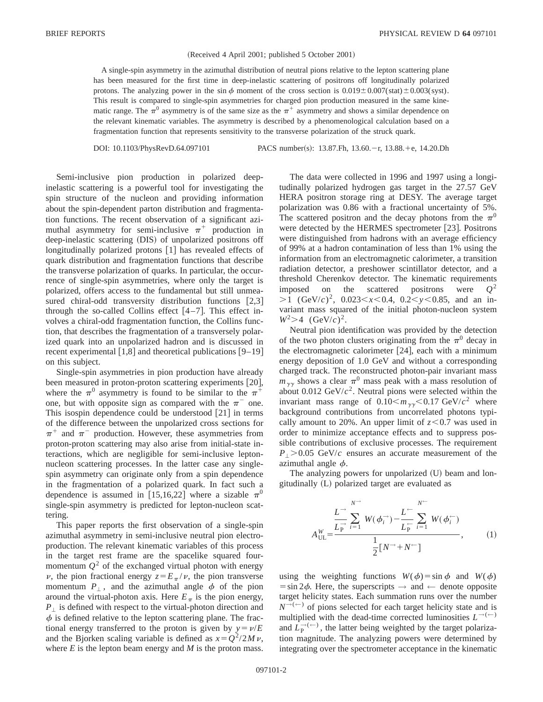## (Received 4 April 2001; published 5 October 2001)

A single-spin asymmetry in the azimuthal distribution of neutral pions relative to the lepton scattering plane has been measured for the first time in deep-inelastic scattering of positrons off longitudinally polarized protons. The analyzing power in the sin  $\phi$  moment of the cross section is 0.019±0.007(stat)±0.003(syst). This result is compared to single-spin asymmetries for charged pion production measured in the same kinematic range. The  $\pi^0$  asymmetry is of the same size as the  $\pi^+$  asymmetry and shows a similar dependence on the relevant kinematic variables. The asymmetry is described by a phenomenological calculation based on a fragmentation function that represents sensitivity to the transverse polarization of the struck quark.

DOI: 10.1103/PhysRevD.64.097101 PACS number(s): 13.87.Fh, 13.60. - r, 13.88. + e, 14.20.Dh

Semi-inclusive pion production in polarized deepinelastic scattering is a powerful tool for investigating the spin structure of the nucleon and providing information about the spin-dependent parton distribution and fragmentation functions. The recent observation of a significant azimuthal asymmetry for semi-inclusive  $\pi^+$  production in deep-inelastic scattering (DIS) of unpolarized positrons off longitudinally polarized protons  $[1]$  has revealed effects of quark distribution and fragmentation functions that describe the transverse polarization of quarks. In particular, the occurrence of single-spin asymmetries, where only the target is polarized, offers access to the fundamental but still unmeasured chiral-odd transversity distribution functions  $[2,3]$ through the so-called Collins effect  $[4-7]$ . This effect involves a chiral-odd fragmentation function, the Collins function, that describes the fragmentation of a transversely polarized quark into an unpolarized hadron and is discussed in recent experimental  $\lceil 1, 8 \rceil$  and theoretical publications  $\lceil 9-19 \rceil$ on this subject.

Single-spin asymmetries in pion production have already been measured in proton-proton scattering experiments  $[20]$ , where the  $\pi^0$  asymmetry is found to be similar to the  $\pi^+$ one, but with opposite sign as compared with the  $\pi^-$  one. This isospin dependence could be understood  $[21]$  in terms of the difference between the unpolarized cross sections for  $\pi^+$  and  $\pi^-$  production. However, these asymmetries from proton-proton scattering may also arise from initial-state interactions, which are negligible for semi-inclusive leptonnucleon scattering processes. In the latter case any singlespin asymmetry can originate only from a spin dependence in the fragmentation of a polarized quark. In fact such a dependence is assumed in [15,16,22] where a sizable  $\pi^0$ single-spin asymmetry is predicted for lepton-nucleon scattering.

This paper reports the first observation of a single-spin azimuthal asymmetry in semi-inclusive neutral pion electroproduction. The relevant kinematic variables of this process in the target rest frame are the spacelike squared fourmomentum  $Q^2$  of the exchanged virtual photon with energy  $\nu$ , the pion fractional energy  $z = E_{\pi}/\nu$ , the pion transverse momentum  $P_{\perp}$ , and the azimuthal angle  $\phi$  of the pion around the virtual-photon axis. Here  $E_{\pi}$  is the pion energy,  $P_{\perp}$  is defined with respect to the virtual-photon direction and  $\phi$  is defined relative to the lepton scattering plane. The fractional energy transferred to the proton is given by  $y = v/E$ and the Bjorken scaling variable is defined as  $x = Q^2/2M\nu$ , where  $E$  is the lepton beam energy and  $M$  is the proton mass.

The data were collected in 1996 and 1997 using a longitudinally polarized hydrogen gas target in the 27.57 GeV HERA positron storage ring at DESY. The average target polarization was 0.86 with a fractional uncertainty of 5%. The scattered positron and the decay photons from the  $\pi^0$ were detected by the HERMES spectrometer  $[23]$ . Positrons were distinguished from hadrons with an average efficiency of 99% at a hadron contamination of less than 1% using the information from an electromagnetic calorimeter, a transition radiation detector, a preshower scintillator detector, and a threshold Cherenkov detector. The kinematic requirements imposed on the scattered positrons were  $Q^2$  $>1$  (GeV/*c*)<sup>2</sup>, 0.023  $\lt x \lt 0.4$ , 0.2 $\lt y \lt 0.85$ , and an invariant mass squared of the initial photon-nucleon system  $W^2 > 4$  (GeV/*c*)<sup>2</sup>.

Neutral pion identification was provided by the detection of the two photon clusters originating from the  $\pi^0$  decay in the electromagnetic calorimeter  $[24]$ , each with a minimum energy deposition of 1.0 GeV and without a corresponding charged track. The reconstructed photon-pair invariant mass  $m_{\gamma\gamma}$  shows a clear  $\pi^0$  mass peak with a mass resolution of about  $0.012 \text{ GeV}/c^2$ . Neutral pions were selected within the invariant mass range of  $0.10 \le m_{\gamma\gamma} \le 0.17$  GeV/ $c^2$  where background contributions from uncorrelated photons typically amount to 20%. An upper limit of  $z$ <0.7 was used in order to minimize acceptance effects and to suppress possible contributions of exclusive processes. The requirement  $P_{\perp}$  > 0.05 GeV/*c* ensures an accurate measurement of the azimuthal angle  $\phi$ .

The analyzing powers for unpolarized  $(U)$  beam and longitudinally  $(L)$  polarized target are evaluated as

$$
A_{\text{UL}}^W = \frac{\frac{L^{-\gamma}}{L_{\text{P}}^{-\gamma}} \sum_{i=1}^{N^{-\gamma}} W(\phi_i^{-\gamma}) - \frac{L^{-\gamma}}{L_{\text{P}}^{-\gamma}} \sum_{i=1}^{N^{-\gamma}} W(\phi_i^{-\gamma})}{\frac{1}{2}[N^{-\gamma} + N^{-\gamma}]}, \qquad (1)
$$

using the weighting functions  $W(\phi) = \sin \phi$  and  $W(\phi)$  $\sin 2\phi$ . Here, the superscripts  $\rightarrow$  and  $\leftarrow$  denote opposite target helicity states. Each summation runs over the number  $N^{(\leftarrow)}$  of pions selected for each target helicity state and is multiplied with the dead-time corrected luminosities  $L^{\rightarrow(\leftarrow)}$ and  $\overline{L}_{\rm P}^{\rightarrow (\leftarrow)}$ , the latter being weighted by the target polarization magnitude. The analyzing powers were determined by integrating over the spectrometer acceptance in the kinematic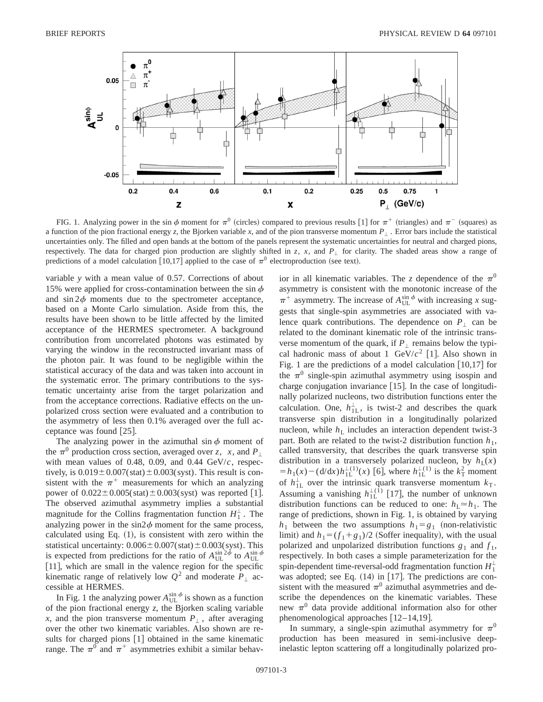

FIG. 1. Analyzing power in the sin  $\phi$  moment for  $\pi^0$  (circles) compared to previous results [1] for  $\pi^+$  (triangles) and  $\pi^-$  (squares) as a function of the pion fractional energy *z*, the Bjorken variable *x*, and of the pion transverse momentum  $P_{\perp}$ . Error bars include the statistical uncertainties only. The filled and open bands at the bottom of the panels represent the systematic uncertainties for neutral and charged pions, respectively. The data for charged pion production are slightly shifted in *z*, *x*, and  $P_{\perp}$  for clarity. The shaded areas show a range of predictions of a model calculation  $[10,17]$  applied to the case of  $\pi^0$  electroproduction (see text).

variable *y* with a mean value of 0.57. Corrections of about 15% were applied for cross-contamination between the sin  $\phi$ and  $\sin 2\phi$  moments due to the spectrometer acceptance, based on a Monte Carlo simulation. Aside from this, the results have been shown to be little affected by the limited acceptance of the HERMES spectrometer. A background contribution from uncorrelated photons was estimated by varying the window in the reconstructed invariant mass of the photon pair. It was found to be negligible within the statistical accuracy of the data and was taken into account in the systematic error. The primary contributions to the systematic uncertainty arise from the target polarization and from the acceptance corrections. Radiative effects on the unpolarized cross section were evaluated and a contribution to the asymmetry of less then 0.1% averaged over the full acceptance was found  $[25]$ .

The analyzing power in the azimuthal sin  $\phi$  moment of the  $\pi^0$  production cross section, averaged over *z*, *x*, and  $P_{\perp}$ with mean values of 0.48, 0.09, and 0.44 GeV/*c*, respectively, is  $0.019 \pm 0.007$ (stat) $\pm 0.003$ (syst). This result is consistent with the  $\pi^+$  measurements for which an analyzing power of  $0.022 \pm 0.005$ (stat) $\pm 0.003$ (syst) was reported [1]. The observed azimuthal asymmetry implies a substantial magnitude for the Collins fragmentation function  $H_1^{\perp}$ . The analyzing power in the  $\sin 2\phi$  moment for the same process, calculated using Eq.  $(1)$ , is consistent with zero within the statistical uncertainty:  $0.006 \pm 0.007$ (stat) $\pm 0.003$ (syst). This is expected from predictions for the ratio of  $A_{\text{UL}}^{\sin 2\phi}$  to  $A_{\text{UL}}^{\sin \phi}$ [11], which are small in the valence region for the specific kinematic range of relatively low  $Q^2$  and moderate  $P_1$  accessible at HERMES.

In Fig. 1 the analyzing power  $A_{\text{UL}}^{\sin \phi}$  is shown as a function of the pion fractional energy *z*, the Bjorken scaling variable *x*, and the pion transverse momentum  $P_{\perp}$ , after averaging over the other two kinematic variables. Also shown are results for charged pions [1] obtained in the same kinematic range. The  $\pi^0$  and  $\pi^+$  asymmetries exhibit a similar behavior in all kinematic variables. The *z* dependence of the  $\pi^0$ asymmetry is consistent with the monotonic increase of the  $\pi^+$  asymmetry. The increase of  $A_{\text{UL}}^{\sin \phi}$  with increasing *x* suggests that single-spin asymmetries are associated with valence quark contributions. The dependence on  $P_1$  can be related to the dominant kinematic role of the intrinsic transverse momentum of the quark, if  $P_{\perp}$  remains below the typical hadronic mass of about 1  $\text{GeV}/c^2$  [1]. Also shown in Fig. 1 are the predictions of a model calculation  $[10,17]$  for the  $\pi^0$  single-spin azimuthal asymmetry using isospin and charge conjugation invariance  $[15]$ . In the case of longitudinally polarized nucleons, two distribution functions enter the calculation. One,  $h_{1L}^{\perp}$ , is twist-2 and describes the quark transverse spin distribution in a longitudinally polarized nucleon, while  $h_{\text{L}}$  includes an interaction dependent twist-3 part. Both are related to the twist-2 distribution function  $h_1$ , called transversity, that describes the quark transverse spin distribution in a transversely polarized nucleon, by  $h_L(x)$  $= h_1(x) - (d/dx)h_{1L}^{\perp(1)}(x)$  [6], where  $h_{1L}^{\perp(1)}$  is the  $k_T^2$  moment of  $h_{1L}^{\perp}$  over the intrinsic quark transverse momentum  $k_T$ . Assuming a vanishing  $h_{\text{IL}}^{\perp(1)}$  [17], the number of unknown distribution functions can be reduced to one:  $h_1 \approx h_1$ . The range of predictions, shown in Fig. 1, is obtained by varying  $h_1$  between the two assumptions  $h_1 = g_1$  (non-relativistic limit) and  $h_1 = (f_1 + g_1)/2$  (Soffer inequality), with the usual polarized and unpolarized distribution functions  $g_1$  and  $f_1$ , respectively. In both cases a simple parameterization for the spin-dependent time-reversal-odd fragmentation function  $H_1^{\perp}$ was adopted; see Eq.  $(14)$  in  $[17]$ . The predictions are consistent with the measured  $\pi^0$  azimuthal asymmetries and describe the dependences on the kinematic variables. These new  $\pi^0$  data provide additional information also for other phenomenological approaches  $[12-14,19]$ .

In summary, a single-spin azimuthal asymmetry for  $\pi^0$ production has been measured in semi-inclusive deepinelastic lepton scattering off a longitudinally polarized pro